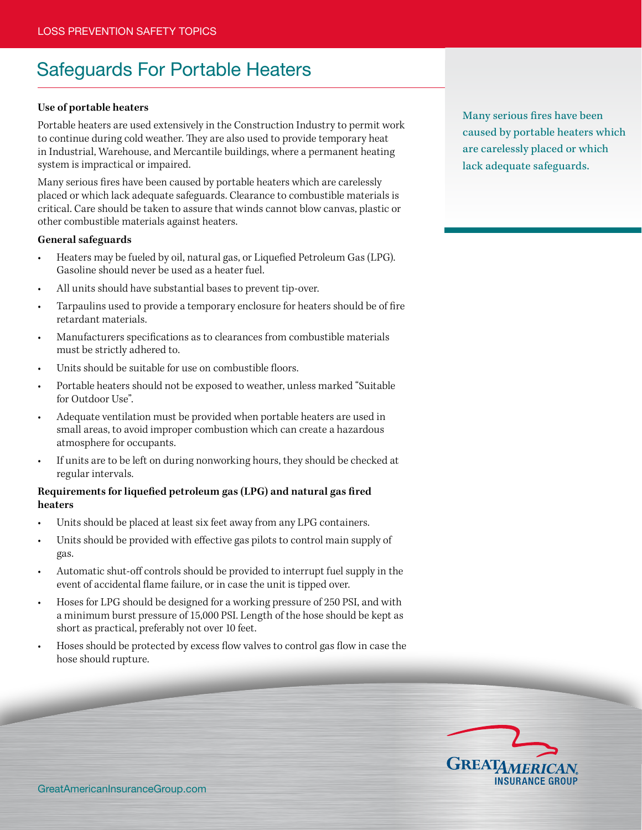# Safeguards For Portable Heaters

#### **Use of portable heaters**

Portable heaters are used extensively in the Construction Industry to permit work to continue during cold weather. They are also used to provide temporary heat in Industrial, Warehouse, and Mercantile buildings, where a permanent heating system is impractical or impaired.

Many serious fires have been caused by portable heaters which are carelessly placed or which lack adequate safeguards. Clearance to combustible materials is critical. Care should be taken to assure that winds cannot blow canvas, plastic or other combustible materials against heaters.

#### **General safeguards**

- Heaters may be fueled by oil, natural gas, or Liquefied Petroleum Gas (LPG). Gasoline should never be used as a heater fuel.
- All units should have substantial bases to prevent tip-over.
- Tarpaulins used to provide a temporary enclosure for heaters should be of fire retardant materials.
- Manufacturers specifications as to clearances from combustible materials must be strictly adhered to.
- Units should be suitable for use on combustible floors.
- Portable heaters should not be exposed to weather, unless marked "Suitable for Outdoor Use".
- Adequate ventilation must be provided when portable heaters are used in small areas, to avoid improper combustion which can create a hazardous atmosphere for occupants.
- If units are to be left on during nonworking hours, they should be checked at regular intervals.

## **Requirements for liquefied petroleum gas (LPG) and natural gas fired heaters**

- Units should be placed at least six feet away from any LPG containers.
- Units should be provided with effective gas pilots to control main supply of gas.
- Automatic shut-off controls should be provided to interrupt fuel supply in the event of accidental flame failure, or in case the unit is tipped over.
- Hoses for LPG should be designed for a working pressure of 250 PSI, and with a minimum burst pressure of 15,000 PSI. Length of the hose should be kept as short as practical, preferably not over 10 feet.
- Hoses should be protected by excess flow valves to control gas flow in case the hose should rupture.

Many serious fires have been caused by portable heaters which are carelessly placed or which lack adequate safeguards.